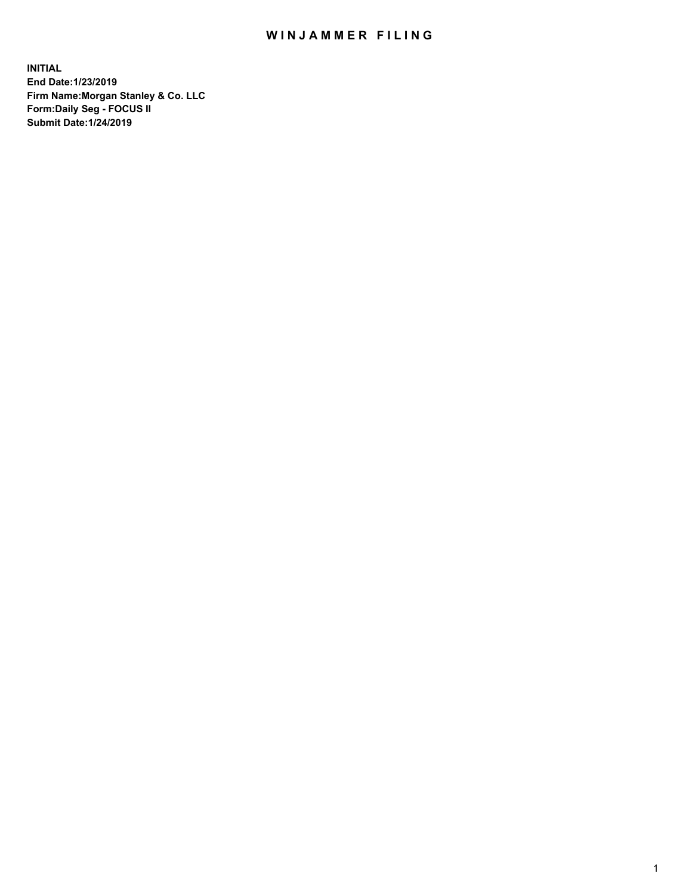## WIN JAMMER FILING

**INITIAL End Date:1/23/2019 Firm Name:Morgan Stanley & Co. LLC Form:Daily Seg - FOCUS II Submit Date:1/24/2019**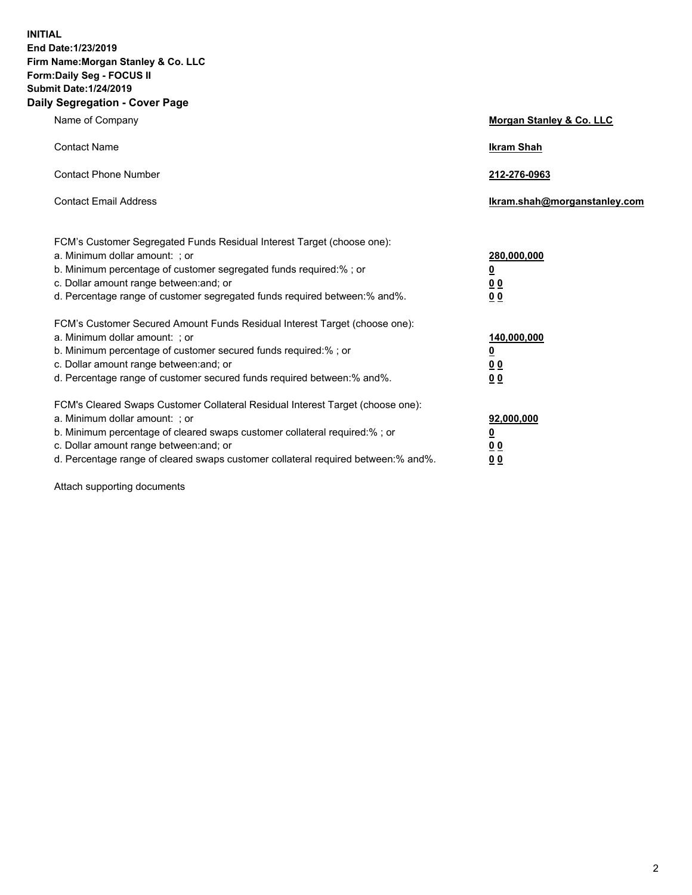**INITIAL End Date:1/23/2019 Firm Name:Morgan Stanley & Co. LLC Form:Daily Seg - FOCUS II Submit Date:1/24/2019 Daily Segregation - Cover Page**

| Name of Company                                                                                                                                                                                                                                                                                                                | Morgan Stanley & Co. LLC                  |
|--------------------------------------------------------------------------------------------------------------------------------------------------------------------------------------------------------------------------------------------------------------------------------------------------------------------------------|-------------------------------------------|
| <b>Contact Name</b>                                                                                                                                                                                                                                                                                                            | <b>Ikram Shah</b>                         |
| <b>Contact Phone Number</b>                                                                                                                                                                                                                                                                                                    | 212-276-0963                              |
| <b>Contact Email Address</b>                                                                                                                                                                                                                                                                                                   | Ikram.shah@morganstanley.com              |
| FCM's Customer Segregated Funds Residual Interest Target (choose one):<br>a. Minimum dollar amount: ; or<br>b. Minimum percentage of customer segregated funds required:% ; or<br>c. Dollar amount range between: and; or                                                                                                      | 280,000,000<br><u>0</u><br><u>00</u>      |
| d. Percentage range of customer segregated funds required between:% and%.<br>FCM's Customer Secured Amount Funds Residual Interest Target (choose one):<br>a. Minimum dollar amount: ; or                                                                                                                                      | 0 <sub>0</sub><br>140,000,000             |
| b. Minimum percentage of customer secured funds required:% ; or<br>c. Dollar amount range between: and; or<br>d. Percentage range of customer secured funds required between:% and%.                                                                                                                                           | <u>0</u><br><u>00</u><br>00               |
| FCM's Cleared Swaps Customer Collateral Residual Interest Target (choose one):<br>a. Minimum dollar amount: ; or<br>b. Minimum percentage of cleared swaps customer collateral required:% ; or<br>c. Dollar amount range between: and; or<br>d. Percentage range of cleared swaps customer collateral required between:% and%. | 92,000,000<br><u>0</u><br><u>00</u><br>00 |

Attach supporting documents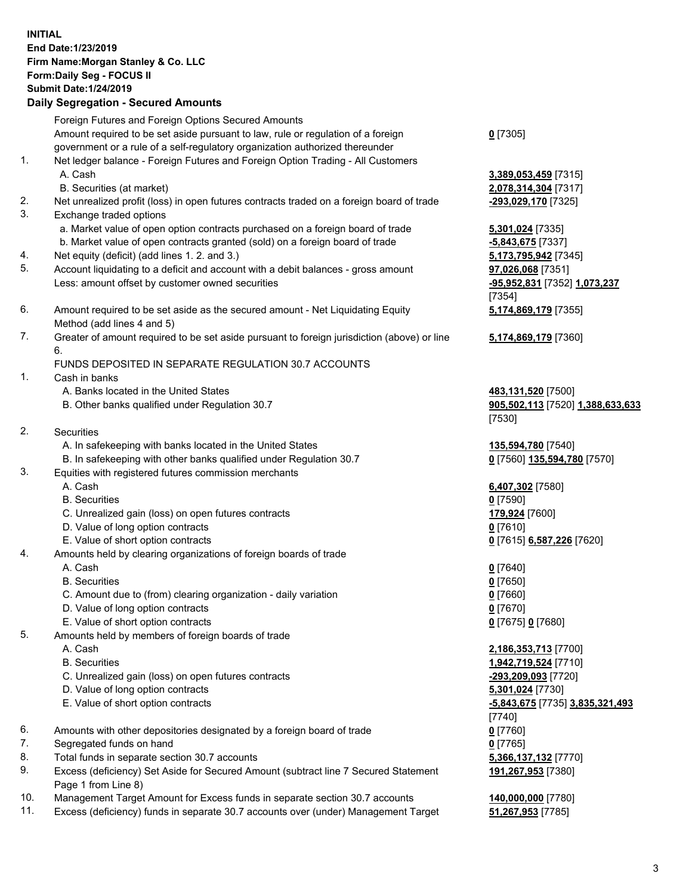## **INITIAL End Date:1/23/2019 Firm Name:Morgan Stanley & Co. LLC Form:Daily Seg - FOCUS II Submit Date:1/24/2019 Daily Segregation - Secured Amounts**

Foreign Futures and Foreign Options Secured Amounts Amount required to be set aside pursuant to law, rule or regulation of a foreign government or a rule of a self-regulatory organization authorized thereunder 1. Net ledger balance - Foreign Futures and Foreign Option Trading - All Customers A. Cash **3,389,053,459** [7315] B. Securities (at market) **2,078,314,304** [7317] 2. Net unrealized profit (loss) in open futures contracts traded on a foreign board of trade **-293,029,170** [7325] 3. Exchange traded options a. Market value of open option contracts purchased on a foreign board of trade **5,301,024** [7335] b. Market value of open contracts granted (sold) on a foreign board of trade **-5,843,675** [7337] 4. Net equity (deficit) (add lines 1. 2. and 3.) **5,173,795,942** [7345]

- 5. Account liquidating to a deficit and account with a debit balances gross amount **97,026,068** [7351] Less: amount offset by customer owned securities **-95,952,831** [7352] **1,073,237**
- 6. Amount required to be set aside as the secured amount Net Liquidating Equity Method (add lines 4 and 5)
- 7. Greater of amount required to be set aside pursuant to foreign jurisdiction (above) or line 6.

## FUNDS DEPOSITED IN SEPARATE REGULATION 30.7 ACCOUNTS

- 1. Cash in banks
	- A. Banks located in the United States **483,131,520** [7500]
	- B. Other banks qualified under Regulation 30.7 **905,502,113** [7520] **1,388,633,633**
- 2. Securities
	- A. In safekeeping with banks located in the United States **135,594,780** [7540]
	- B. In safekeeping with other banks qualified under Regulation 30.7 **0** [7560] **135,594,780** [7570]
- 3. Equities with registered futures commission merchants
	-
	- B. Securities **0** [7590]
	- C. Unrealized gain (loss) on open futures contracts **179,924** [7600]
	- D. Value of long option contracts **0** [7610]
- E. Value of short option contracts **0** [7615] **6,587,226** [7620]
- 4. Amounts held by clearing organizations of foreign boards of trade
	- A. Cash **0** [7640]
	- B. Securities **0** [7650]
	- C. Amount due to (from) clearing organization daily variation **0** [7660]
	- D. Value of long option contracts **0** [7670]
	- E. Value of short option contracts **0** [7675] **0** [7680]
- 5. Amounts held by members of foreign boards of trade
	-
	-
	- C. Unrealized gain (loss) on open futures contracts **-293,209,093** [7720]
	- D. Value of long option contracts **5,301,024** [7730]
	- E. Value of short option contracts **-5,843,675** [7735] **3,835,321,493**
- 6. Amounts with other depositories designated by a foreign board of trade **0** [7760]
- 7. Segregated funds on hand **0** [7765]
- 8. Total funds in separate section 30.7 accounts **5,366,137,132** [7770]
- 9. Excess (deficiency) Set Aside for Secured Amount (subtract line 7 Secured Statement Page 1 from Line 8)
- 10. Management Target Amount for Excess funds in separate section 30.7 accounts **140,000,000** [7780]
- 11. Excess (deficiency) funds in separate 30.7 accounts over (under) Management Target **51,267,953** [7785]

**0** [7305]

[7354] **5,174,869,179** [7355]

**5,174,869,179** [7360]

[7530]

A. Cash **6,407,302** [7580]

 A. Cash **2,186,353,713** [7700] B. Securities **1,942,719,524** [7710] [7740] **191,267,953** [7380]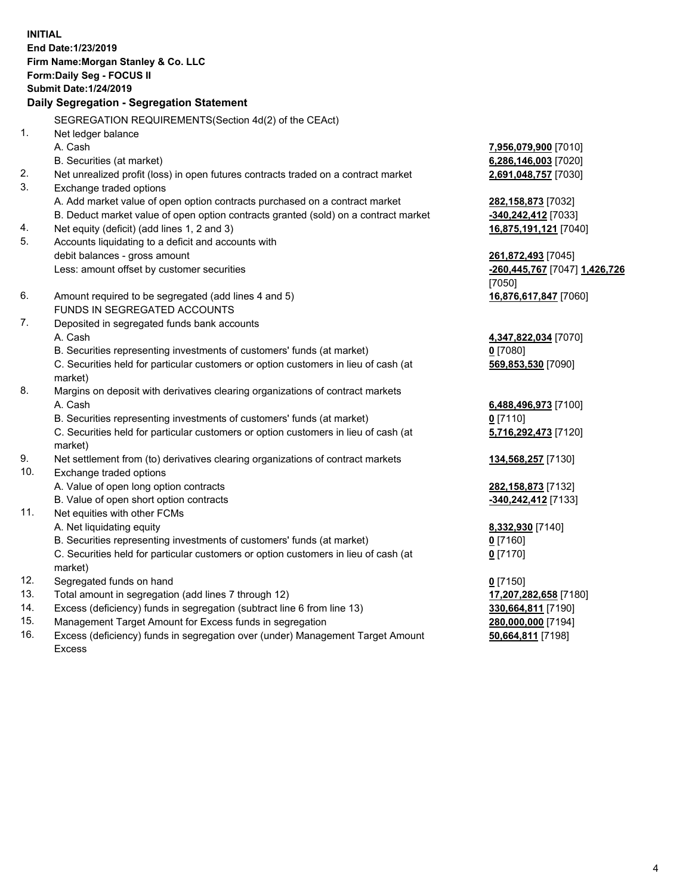**INITIAL End Date:1/23/2019 Firm Name:Morgan Stanley & Co. LLC Form:Daily Seg - FOCUS II Submit Date:1/24/2019 Daily Segregation - Segregation Statement** SEGREGATION REQUIREMENTS(Section 4d(2) of the CEAct) 1. Net ledger balance A. Cash **7,956,079,900** [7010] B. Securities (at market) **6,286,146,003** [7020] 2. Net unrealized profit (loss) in open futures contracts traded on a contract market **2,691,048,757** [7030] 3. Exchange traded options A. Add market value of open option contracts purchased on a contract market **282,158,873** [7032] B. Deduct market value of open option contracts granted (sold) on a contract market **-340,242,412** [7033] 4. Net equity (deficit) (add lines 1, 2 and 3) **16,875,191,121** [7040] 5. Accounts liquidating to a deficit and accounts with debit balances - gross amount **261,872,493** [7045] Less: amount offset by customer securities **-260,445,767** [7047] **1,426,726** [7050] 6. Amount required to be segregated (add lines 4 and 5) **16,876,617,847** [7060] FUNDS IN SEGREGATED ACCOUNTS 7. Deposited in segregated funds bank accounts A. Cash **4,347,822,034** [7070] B. Securities representing investments of customers' funds (at market) **0** [7080] C. Securities held for particular customers or option customers in lieu of cash (at market) **569,853,530** [7090] 8. Margins on deposit with derivatives clearing organizations of contract markets A. Cash **6,488,496,973** [7100] B. Securities representing investments of customers' funds (at market) **0** [7110] C. Securities held for particular customers or option customers in lieu of cash (at market) **5,716,292,473** [7120] 9. Net settlement from (to) derivatives clearing organizations of contract markets **134,568,257** [7130] 10. Exchange traded options A. Value of open long option contracts **282,158,873** [7132] B. Value of open short option contracts **-340,242,412** [7133] 11. Net equities with other FCMs A. Net liquidating equity **8,332,930** [7140] B. Securities representing investments of customers' funds (at market) **0** [7160] C. Securities held for particular customers or option customers in lieu of cash (at market) **0** [7170] 12. Segregated funds on hand **0** [7150] 13. Total amount in segregation (add lines 7 through 12) **17,207,282,658** [7180] 14. Excess (deficiency) funds in segregation (subtract line 6 from line 13) **330,664,811** [7190]

- 15. Management Target Amount for Excess funds in segregation **280,000,000** [7194]
- 16. Excess (deficiency) funds in segregation over (under) Management Target Amount Excess

**50,664,811** [7198]